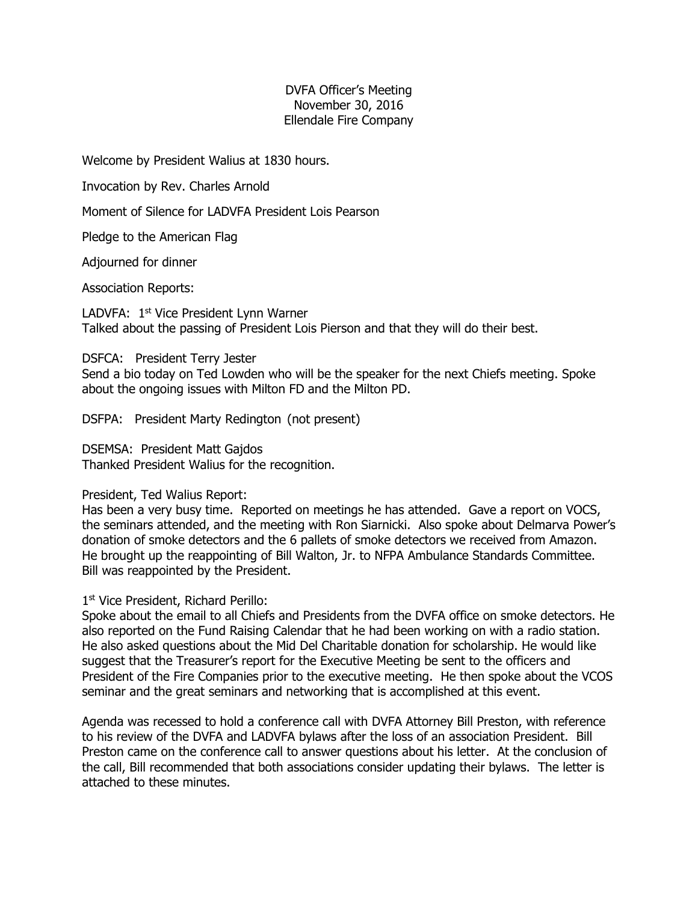## DVFA Officer's Meeting November 30, 2016 Ellendale Fire Company

Welcome by President Walius at 1830 hours.

Invocation by Rev. Charles Arnold

Moment of Silence for LADVFA President Lois Pearson

Pledge to the American Flag

Adjourned for dinner

Association Reports:

LADVFA: 1st Vice President Lynn Warner Talked about the passing of President Lois Pierson and that they will do their best.

DSFCA: President Terry Jester

Send a bio today on Ted Lowden who will be the speaker for the next Chiefs meeting. Spoke about the ongoing issues with Milton FD and the Milton PD.

DSFPA: President Marty Redington (not present)

DSEMSA: President Matt Gajdos Thanked President Walius for the recognition.

### President, Ted Walius Report:

Has been a very busy time. Reported on meetings he has attended. Gave a report on VOCS, the seminars attended, and the meeting with Ron Siarnicki. Also spoke about Delmarva Power's donation of smoke detectors and the 6 pallets of smoke detectors we received from Amazon. He brought up the reappointing of Bill Walton, Jr. to NFPA Ambulance Standards Committee. Bill was reappointed by the President.

1<sup>st</sup> Vice President, Richard Perillo:

Spoke about the email to all Chiefs and Presidents from the DVFA office on smoke detectors. He also reported on the Fund Raising Calendar that he had been working on with a radio station. He also asked questions about the Mid Del Charitable donation for scholarship. He would like suggest that the Treasurer's report for the Executive Meeting be sent to the officers and President of the Fire Companies prior to the executive meeting. He then spoke about the VCOS seminar and the great seminars and networking that is accomplished at this event.

Agenda was recessed to hold a conference call with DVFA Attorney Bill Preston, with reference to his review of the DVFA and LADVFA bylaws after the loss of an association President. Bill Preston came on the conference call to answer questions about his letter. At the conclusion of the call, Bill recommended that both associations consider updating their bylaws. The letter is attached to these minutes.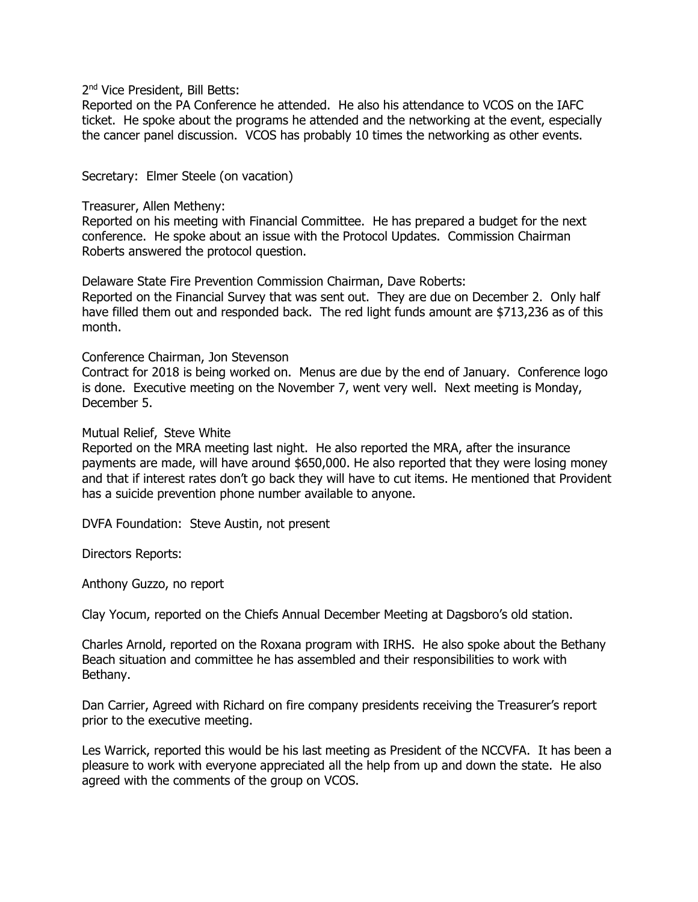2<sup>nd</sup> Vice President, Bill Betts:

Reported on the PA Conference he attended. He also his attendance to VCOS on the IAFC ticket. He spoke about the programs he attended and the networking at the event, especially the cancer panel discussion. VCOS has probably 10 times the networking as other events.

Secretary: Elmer Steele (on vacation)

#### Treasurer, Allen Metheny:

Reported on his meeting with Financial Committee. He has prepared a budget for the next conference. He spoke about an issue with the Protocol Updates. Commission Chairman Roberts answered the protocol question.

Delaware State Fire Prevention Commission Chairman, Dave Roberts:

Reported on the Financial Survey that was sent out. They are due on December 2. Only half have filled them out and responded back. The red light funds amount are \$713,236 as of this month.

#### Conference Chairman, Jon Stevenson

Contract for 2018 is being worked on. Menus are due by the end of January. Conference logo is done. Executive meeting on the November 7, went very well. Next meeting is Monday, December 5.

### Mutual Relief, Steve White

Reported on the MRA meeting last night. He also reported the MRA, after the insurance payments are made, will have around \$650,000. He also reported that they were losing money and that if interest rates don't go back they will have to cut items. He mentioned that Provident has a suicide prevention phone number available to anyone.

DVFA Foundation: Steve Austin, not present

Directors Reports:

Anthony Guzzo, no report

Clay Yocum, reported on the Chiefs Annual December Meeting at Dagsboro's old station.

Charles Arnold, reported on the Roxana program with IRHS. He also spoke about the Bethany Beach situation and committee he has assembled and their responsibilities to work with Bethany.

Dan Carrier, Agreed with Richard on fire company presidents receiving the Treasurer's report prior to the executive meeting.

Les Warrick, reported this would be his last meeting as President of the NCCVFA. It has been a pleasure to work with everyone appreciated all the help from up and down the state. He also agreed with the comments of the group on VCOS.